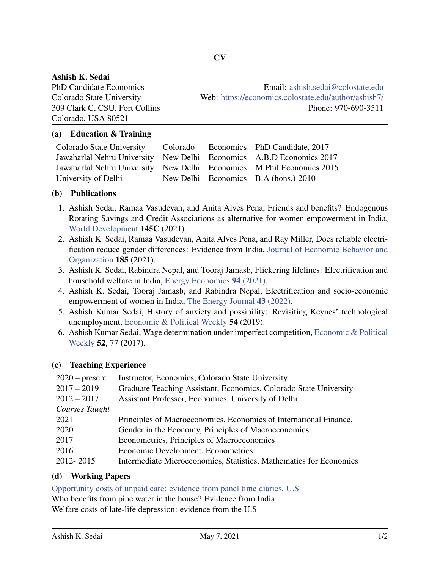## Ashish K. Sedai

Colorado, USA 80521

PhD Candidate Economics Email: [ashish.sedai@colostate.edu](mailto:ashish.sedai@colostate.edu) Colorado State University Web: <https://economics.colostate.edu/author/ashish7/> 309 Clark C, CSU, Fort Collins Phone: 970-690-3511

## (a) Education & Training

| Colorado State University Colorado Economics PhD Candidate, 2017-     |  |                                      |
|-----------------------------------------------------------------------|--|--------------------------------------|
| Jawaharlal Nehru University New Delhi Economics A.B.D Economics 2017  |  |                                      |
| Jawaharlal Nehru University New Delhi Economics M.Phil Economics 2015 |  |                                      |
| University of Delhi                                                   |  | New Delhi Economics B.A (hons.) 2010 |

### (b) Publications

- 1. Ashish Sedai, Ramaa Vasudevan, and Anita Alves Pena, Friends and benefits? Endogenous Rotating Savings and Credit Associations as alternative for women empowerment in India, [World Development](https://www.sciencedirect.com/science/article/pii/S0305750X21001273) 145C (2021).
- 2. Ashish K. Sedai, Ramaa Vasudevan, Anita Alves Pena, and Ray Miller, Does reliable electrification reduce gender differences: Evidence from India, [Journal of Economic Behavior and](https://www.sciencedirect.com/science/article/pii/S0167268121001098) [Organization](https://www.sciencedirect.com/science/article/pii/S0167268121001098) 185 (2021).
- 3. Ashish K. Sedai, Rabindra Nepal, and Tooraj Jamasb, Flickering lifelines: Electrification and household welfare in India, [Energy Economics](https://doi.org/https://doi.org/10.1016/j.eneco.2020.104975) 94 (2021).
- 4. Ashish K. Sedai, Tooraj Jamasb, and Rabindra Nepal, Electrification and socio-economic empowerment of women in India, [The Energy Journal](https://doi.org/https://doi.org/10.17863/CAM.57986) 43 (2022).
- 5. Ashish Kumar Sedai, History of anxiety and possibility: Revisiting Keynes' technological unemployment, [Economic & Political Weekly](https://www.epw.in/journal/2019/44/commentary/history-anxiety-and-possibility.html) 54 (2019).
- 6. Ashish Kumar Sedai, Wage determination under imperfect competition, [Economic & Political](https://www.epw.in/journal/2017/49/special-articles/wage-determination-under-imperfect-competition.html) [Weekly](https://www.epw.in/journal/2017/49/special-articles/wage-determination-under-imperfect-competition.html) 52, 77 (2017).

# (c) Teaching Experience

| $2020$ – present | Instructor, Economics, Colorado State University                   |
|------------------|--------------------------------------------------------------------|
| $2017 - 2019$    | Graduate Teaching Assistant, Economics, Colorado State University  |
| $2012 - 2017$    | Assistant Professor, Economics, University of Delhi                |
| Courses Taught   |                                                                    |
| 2021             | Principles of Macroeconomics, Economics of International Finance,  |
| 2020             | Gender in the Economy, Principles of Macroeconomics                |
| 2017             | Econometrics, Principles of Macroeconomics                         |
| 2016             | Economic Development, Econometrics                                 |
| 2012-2015        | Intermediate Microeconomics, Statistics, Mathematics for Economics |
|                  |                                                                    |

### (d) Working Papers

[Opportunity costs of unpaid care: evidence from panel time diaries, U.S](https://cama.crawford.anu.edu.au/publication/cama-working-paper-series/18726/opportunity-costs-unpaid-caregiving-evidence-panel-time) Who benefits from pipe water in the house? Evidence from India

Welfare costs of late-life depression: evidence from the U.S